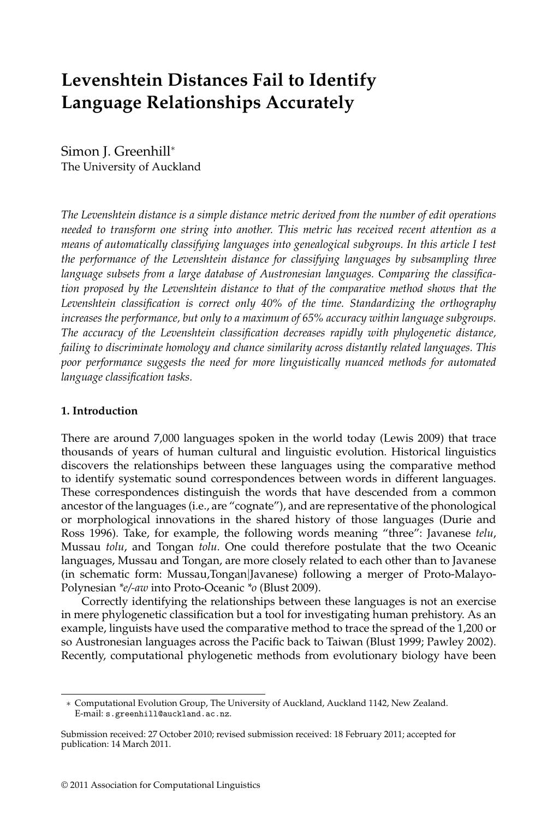# **Levenshtein Distances Fail to Identify Language Relationships Accurately**

Simon J. Greenhill<sup>∗</sup> The University of Auckland

*The Levenshtein distance is a simple distance metric derived from the number of edit operations needed to transform one string into another. This metric has received recent attention as a means of automatically classifying languages into genealogical subgroups. In this article I test the performance of the Levenshtein distance for classifying languages by subsampling three language subsets from a large database of Austronesian languages. Comparing the classification proposed by the Levenshtein distance to that of the comparative method shows that the Levenshtein classification is correct only 40% of the time. Standardizing the orthography increases the performance, but only to a maximum of 65% accuracy within language subgroups. The accuracy of the Levenshtein classification decreases rapidly with phylogenetic distance, failing to discriminate homology and chance similarity across distantly related languages. This poor performance suggests the need for more linguistically nuanced methods for automated language classification tasks.*

# **1. Introduction**

There are around 7,000 languages spoken in the world today (Lewis 2009) that trace thousands of years of human cultural and linguistic evolution. Historical linguistics discovers the relationships between these languages using the comparative method to identify systematic sound correspondences between words in different languages. These correspondences distinguish the words that have descended from a common ancestor of the languages (i.e., are "cognate"), and are representative of the phonological or morphological innovations in the shared history of those languages (Durie and Ross 1996). Take, for example, the following words meaning "three": Javanese *telu*, Mussau *tolu*, and Tongan *tolu*. One could therefore postulate that the two Oceanic languages, Mussau and Tongan, are more closely related to each other than to Javanese (in schematic form: Mussau,Tongan|Javanese) following a merger of Proto-Malayo-Polynesian *\*e/-aw* into Proto-Oceanic *\*o* (Blust 2009).

Correctly identifying the relationships between these languages is not an exercise in mere phylogenetic classification but a tool for investigating human prehistory. As an example, linguists have used the comparative method to trace the spread of the 1,200 or so Austronesian languages across the Pacific back to Taiwan (Blust 1999; Pawley 2002). Recently, computational phylogenetic methods from evolutionary biology have been

<sup>∗</sup> Computational Evolution Group, The University of Auckland, Auckland 1142, New Zealand. E-mail: s.greenhill@auckland.ac.nz.

Submission received: 27 October 2010; revised submission received: 18 February 2011; accepted for publication: 14 March 2011.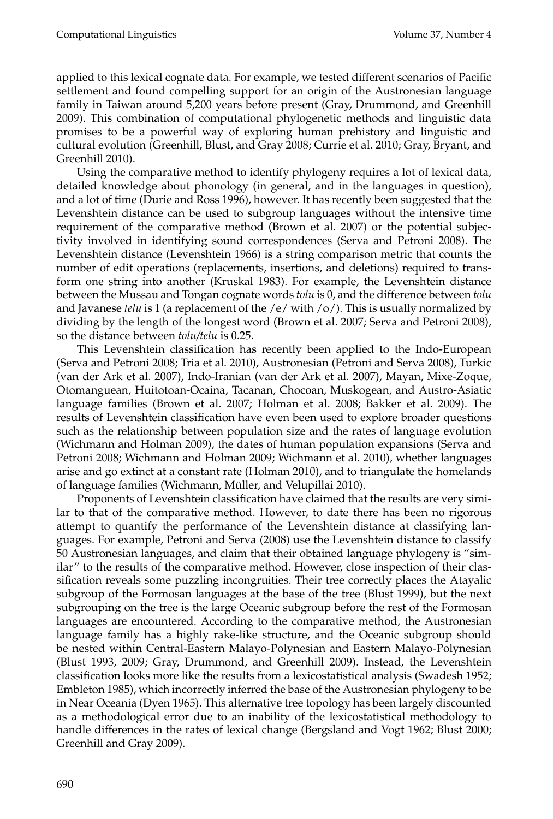applied to this lexical cognate data. For example, we tested different scenarios of Pacific settlement and found compelling support for an origin of the Austronesian language family in Taiwan around 5,200 years before present (Gray, Drummond, and Greenhill 2009). This combination of computational phylogenetic methods and linguistic data promises to be a powerful way of exploring human prehistory and linguistic and cultural evolution (Greenhill, Blust, and Gray 2008; Currie et al. 2010; Gray, Bryant, and Greenhill 2010).

Using the comparative method to identify phylogeny requires a lot of lexical data, detailed knowledge about phonology (in general, and in the languages in question), and a lot of time (Durie and Ross 1996), however. It has recently been suggested that the Levenshtein distance can be used to subgroup languages without the intensive time requirement of the comparative method (Brown et al. 2007) or the potential subjectivity involved in identifying sound correspondences (Serva and Petroni 2008). The Levenshtein distance (Levenshtein 1966) is a string comparison metric that counts the number of edit operations (replacements, insertions, and deletions) required to transform one string into another (Kruskal 1983). For example, the Levenshtein distance between the Mussau and Tongan cognate words *tolu* is 0, and the difference between *tolu* and Javanese *telu* is 1 (a replacement of the  $/e$  / with  $/o$ ). This is usually normalized by dividing by the length of the longest word (Brown et al. 2007; Serva and Petroni 2008), so the distance between *tolu/telu* is 0.25.

This Levenshtein classification has recently been applied to the Indo-European (Serva and Petroni 2008; Tria et al. 2010), Austronesian (Petroni and Serva 2008), Turkic (van der Ark et al. 2007), Indo-Iranian (van der Ark et al. 2007), Mayan, Mixe-Zoque, Otomanguean, Huitotoan-Ocaina, Tacanan, Chocoan, Muskogean, and Austro-Asiatic language families (Brown et al. 2007; Holman et al. 2008; Bakker et al. 2009). The results of Levenshtein classification have even been used to explore broader questions such as the relationship between population size and the rates of language evolution (Wichmann and Holman 2009), the dates of human population expansions (Serva and Petroni 2008; Wichmann and Holman 2009; Wichmann et al. 2010), whether languages arise and go extinct at a constant rate (Holman 2010), and to triangulate the homelands of language families (Wichmann, Müller, and Velupillai 2010).

Proponents of Levenshtein classification have claimed that the results are very similar to that of the comparative method. However, to date there has been no rigorous attempt to quantify the performance of the Levenshtein distance at classifying languages. For example, Petroni and Serva (2008) use the Levenshtein distance to classify 50 Austronesian languages, and claim that their obtained language phylogeny is "similar" to the results of the comparative method. However, close inspection of their classification reveals some puzzling incongruities. Their tree correctly places the Atayalic subgroup of the Formosan languages at the base of the tree (Blust 1999), but the next subgrouping on the tree is the large Oceanic subgroup before the rest of the Formosan languages are encountered. According to the comparative method, the Austronesian language family has a highly rake-like structure, and the Oceanic subgroup should be nested within Central-Eastern Malayo-Polynesian and Eastern Malayo-Polynesian (Blust 1993, 2009; Gray, Drummond, and Greenhill 2009). Instead, the Levenshtein classification looks more like the results from a lexicostatistical analysis (Swadesh 1952; Embleton 1985), which incorrectly inferred the base of the Austronesian phylogeny to be in Near Oceania (Dyen 1965). This alternative tree topology has been largely discounted as a methodological error due to an inability of the lexicostatistical methodology to handle differences in the rates of lexical change (Bergsland and Vogt 1962; Blust 2000; Greenhill and Gray 2009).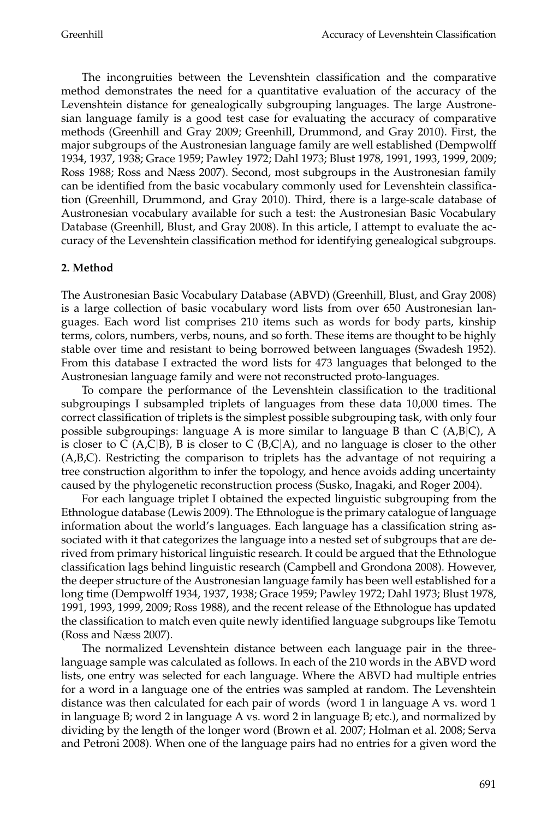The incongruities between the Levenshtein classification and the comparative method demonstrates the need for a quantitative evaluation of the accuracy of the Levenshtein distance for genealogically subgrouping languages. The large Austronesian language family is a good test case for evaluating the accuracy of comparative methods (Greenhill and Gray 2009; Greenhill, Drummond, and Gray 2010). First, the major subgroups of the Austronesian language family are well established (Dempwolff 1934, 1937, 1938; Grace 1959; Pawley 1972; Dahl 1973; Blust 1978, 1991, 1993, 1999, 2009; Ross 1988; Ross and Næss 2007). Second, most subgroups in the Austronesian family can be identified from the basic vocabulary commonly used for Levenshtein classification (Greenhill, Drummond, and Gray 2010). Third, there is a large-scale database of Austronesian vocabulary available for such a test: the Austronesian Basic Vocabulary Database (Greenhill, Blust, and Gray 2008). In this article, I attempt to evaluate the accuracy of the Levenshtein classification method for identifying genealogical subgroups.

## **2. Method**

The Austronesian Basic Vocabulary Database (ABVD) (Greenhill, Blust, and Gray 2008) is a large collection of basic vocabulary word lists from over 650 Austronesian languages. Each word list comprises 210 items such as words for body parts, kinship terms, colors, numbers, verbs, nouns, and so forth. These items are thought to be highly stable over time and resistant to being borrowed between languages (Swadesh 1952). From this database I extracted the word lists for 473 languages that belonged to the Austronesian language family and were not reconstructed proto-languages.

To compare the performance of the Levenshtein classification to the traditional subgroupings I subsampled triplets of languages from these data 10,000 times. The correct classification of triplets is the simplest possible subgrouping task, with only four possible subgroupings: language A is more similar to language B than  $C(A,B|C)$ , A is closer to C (A,C|B), B is closer to C (B,C|A), and no language is closer to the other (A,B,C). Restricting the comparison to triplets has the advantage of not requiring a tree construction algorithm to infer the topology, and hence avoids adding uncertainty caused by the phylogenetic reconstruction process (Susko, Inagaki, and Roger 2004).

For each language triplet I obtained the expected linguistic subgrouping from the Ethnologue database (Lewis 2009). The Ethnologue is the primary catalogue of language information about the world's languages. Each language has a classification string associated with it that categorizes the language into a nested set of subgroups that are derived from primary historical linguistic research. It could be argued that the Ethnologue classification lags behind linguistic research (Campbell and Grondona 2008). However, the deeper structure of the Austronesian language family has been well established for a long time (Dempwolff 1934, 1937, 1938; Grace 1959; Pawley 1972; Dahl 1973; Blust 1978, 1991, 1993, 1999, 2009; Ross 1988), and the recent release of the Ethnologue has updated the classification to match even quite newly identified language subgroups like Temotu (Ross and Næss 2007).

The normalized Levenshtein distance between each language pair in the threelanguage sample was calculated as follows. In each of the 210 words in the ABVD word lists, one entry was selected for each language. Where the ABVD had multiple entries for a word in a language one of the entries was sampled at random. The Levenshtein distance was then calculated for each pair of words (word 1 in language A vs. word 1 in language B; word 2 in language A vs. word 2 in language B; etc.), and normalized by dividing by the length of the longer word (Brown et al. 2007; Holman et al. 2008; Serva and Petroni 2008). When one of the language pairs had no entries for a given word the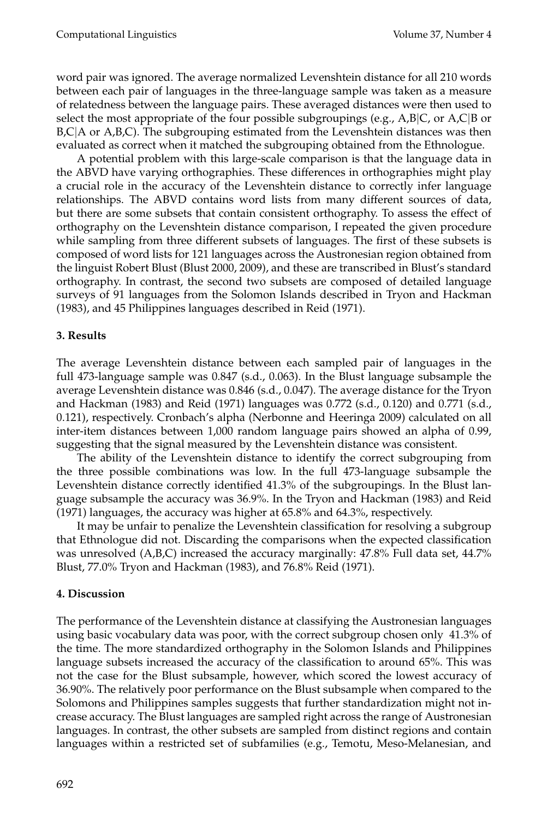word pair was ignored. The average normalized Levenshtein distance for all 210 words between each pair of languages in the three-language sample was taken as a measure of relatedness between the language pairs. These averaged distances were then used to select the most appropriate of the four possible subgroupings (e.g., A,B|C, or A,C|B or B,C|A or A,B,C). The subgrouping estimated from the Levenshtein distances was then evaluated as correct when it matched the subgrouping obtained from the Ethnologue.

A potential problem with this large-scale comparison is that the language data in the ABVD have varying orthographies. These differences in orthographies might play a crucial role in the accuracy of the Levenshtein distance to correctly infer language relationships. The ABVD contains word lists from many different sources of data, but there are some subsets that contain consistent orthography. To assess the effect of orthography on the Levenshtein distance comparison, I repeated the given procedure while sampling from three different subsets of languages. The first of these subsets is composed of word lists for 121 languages across the Austronesian region obtained from the linguist Robert Blust (Blust 2000, 2009), and these are transcribed in Blust's standard orthography. In contrast, the second two subsets are composed of detailed language surveys of 91 languages from the Solomon Islands described in Tryon and Hackman (1983), and 45 Philippines languages described in Reid (1971).

# **3. Results**

The average Levenshtein distance between each sampled pair of languages in the full 473-language sample was 0.847 (s.d., 0.063). In the Blust language subsample the average Levenshtein distance was 0.846 (s.d., 0.047). The average distance for the Tryon and Hackman (1983) and Reid (1971) languages was 0.772 (s.d., 0.120) and 0.771 (s.d., 0.121), respectively. Cronbach's alpha (Nerbonne and Heeringa 2009) calculated on all inter-item distances between 1,000 random language pairs showed an alpha of 0.99, suggesting that the signal measured by the Levenshtein distance was consistent.

The ability of the Levenshtein distance to identify the correct subgrouping from the three possible combinations was low. In the full 473-language subsample the Levenshtein distance correctly identified 41.3% of the subgroupings. In the Blust language subsample the accuracy was 36.9%. In the Tryon and Hackman (1983) and Reid (1971) languages, the accuracy was higher at 65.8% and 64.3%, respectively.

It may be unfair to penalize the Levenshtein classification for resolving a subgroup that Ethnologue did not. Discarding the comparisons when the expected classification was unresolved (A,B,C) increased the accuracy marginally: 47.8% Full data set, 44.7% Blust, 77.0% Tryon and Hackman (1983), and 76.8% Reid (1971).

# **4. Discussion**

The performance of the Levenshtein distance at classifying the Austronesian languages using basic vocabulary data was poor, with the correct subgroup chosen only 41.3% of the time. The more standardized orthography in the Solomon Islands and Philippines language subsets increased the accuracy of the classification to around 65%. This was not the case for the Blust subsample, however, which scored the lowest accuracy of 36.90%. The relatively poor performance on the Blust subsample when compared to the Solomons and Philippines samples suggests that further standardization might not increase accuracy. The Blust languages are sampled right across the range of Austronesian languages. In contrast, the other subsets are sampled from distinct regions and contain languages within a restricted set of subfamilies (e.g., Temotu, Meso-Melanesian, and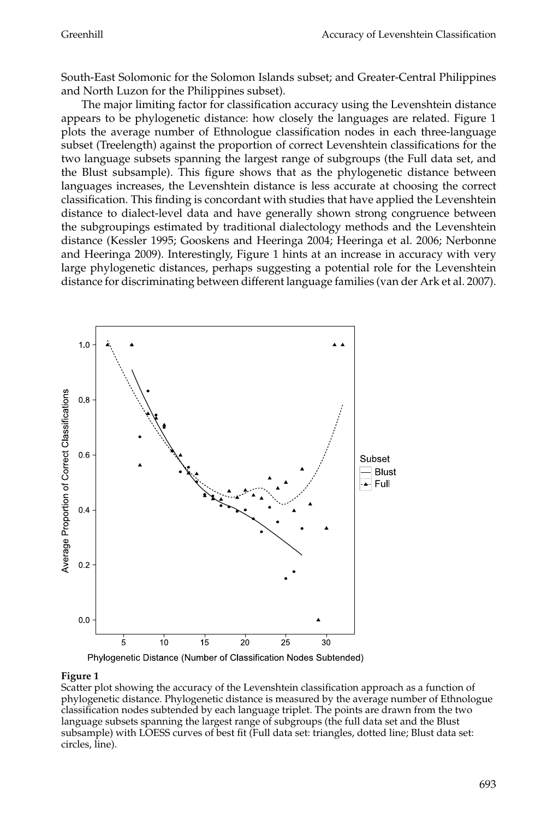South-East Solomonic for the Solomon Islands subset; and Greater-Central Philippines and North Luzon for the Philippines subset).

The major limiting factor for classification accuracy using the Levenshtein distance appears to be phylogenetic distance: how closely the languages are related. Figure 1 plots the average number of Ethnologue classification nodes in each three-language subset (Treelength) against the proportion of correct Levenshtein classifications for the two language subsets spanning the largest range of subgroups (the Full data set, and the Blust subsample). This figure shows that as the phylogenetic distance between languages increases, the Levenshtein distance is less accurate at choosing the correct classification. This finding is concordant with studies that have applied the Levenshtein distance to dialect-level data and have generally shown strong congruence between the subgroupings estimated by traditional dialectology methods and the Levenshtein distance (Kessler 1995; Gooskens and Heeringa 2004; Heeringa et al. 2006; Nerbonne and Heeringa 2009). Interestingly, Figure 1 hints at an increase in accuracy with very large phylogenetic distances, perhaps suggesting a potential role for the Levenshtein distance for discriminating between different language families (van der Ark et al. 2007).



Phylogenetic Distance (Number of Classification Nodes Subtended)

### **Figure 1**

Scatter plot showing the accuracy of the Levenshtein classification approach as a function of phylogenetic distance. Phylogenetic distance is measured by the average number of Ethnologue classification nodes subtended by each language triplet. The points are drawn from the two language subsets spanning the largest range of subgroups (the full data set and the Blust subsample) with LOESS curves of best fit (Full data set: triangles, dotted line; Blust data set: circles, line).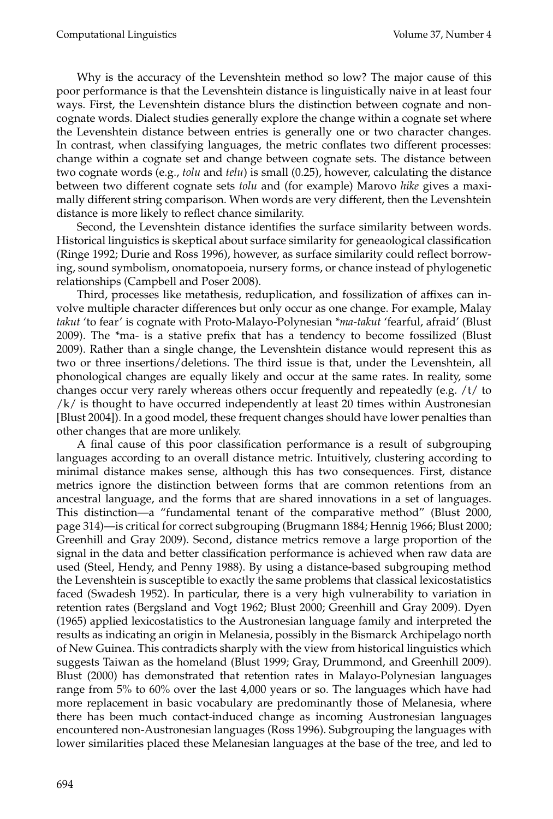Why is the accuracy of the Levenshtein method so low? The major cause of this poor performance is that the Levenshtein distance is linguistically naive in at least four ways. First, the Levenshtein distance blurs the distinction between cognate and noncognate words. Dialect studies generally explore the change within a cognate set where the Levenshtein distance between entries is generally one or two character changes. In contrast, when classifying languages, the metric conflates two different processes: change within a cognate set and change between cognate sets. The distance between two cognate words (e.g., *tolu* and *telu*) is small (0.25), however, calculating the distance between two different cognate sets *tolu* and (for example) Marovo *hike* gives a maximally different string comparison. When words are very different, then the Levenshtein distance is more likely to reflect chance similarity.

Second, the Levenshtein distance identifies the surface similarity between words. Historical linguistics is skeptical about surface similarity for geneaological classification (Ringe 1992; Durie and Ross 1996), however, as surface similarity could reflect borrowing, sound symbolism, onomatopoeia, nursery forms, or chance instead of phylogenetic relationships (Campbell and Poser 2008).

Third, processes like metathesis, reduplication, and fossilization of affixes can involve multiple character differences but only occur as one change. For example, Malay *takut* 'to fear' is cognate with Proto-Malayo-Polynesian *\*ma-takut* 'fearful, afraid' (Blust 2009). The \*ma- is a stative prefix that has a tendency to become fossilized (Blust 2009). Rather than a single change, the Levenshtein distance would represent this as two or three insertions/deletions. The third issue is that, under the Levenshtein, all phonological changes are equally likely and occur at the same rates. In reality, some changes occur very rarely whereas others occur frequently and repeatedly (e.g. /t/ to /k/ is thought to have occurred independently at least 20 times within Austronesian [Blust 2004]). In a good model, these frequent changes should have lower penalties than other changes that are more unlikely.

A final cause of this poor classification performance is a result of subgrouping languages according to an overall distance metric. Intuitively, clustering according to minimal distance makes sense, although this has two consequences. First, distance metrics ignore the distinction between forms that are common retentions from an ancestral language, and the forms that are shared innovations in a set of languages. This distinction—a "fundamental tenant of the comparative method" (Blust 2000, page 314)—is critical for correct subgrouping (Brugmann 1884; Hennig 1966; Blust 2000; Greenhill and Gray 2009). Second, distance metrics remove a large proportion of the signal in the data and better classification performance is achieved when raw data are used (Steel, Hendy, and Penny 1988). By using a distance-based subgrouping method the Levenshtein is susceptible to exactly the same problems that classical lexicostatistics faced (Swadesh 1952). In particular, there is a very high vulnerability to variation in retention rates (Bergsland and Vogt 1962; Blust 2000; Greenhill and Gray 2009). Dyen (1965) applied lexicostatistics to the Austronesian language family and interpreted the results as indicating an origin in Melanesia, possibly in the Bismarck Archipelago north of New Guinea. This contradicts sharply with the view from historical linguistics which suggests Taiwan as the homeland (Blust 1999; Gray, Drummond, and Greenhill 2009). Blust (2000) has demonstrated that retention rates in Malayo-Polynesian languages range from 5% to 60% over the last 4,000 years or so. The languages which have had more replacement in basic vocabulary are predominantly those of Melanesia, where there has been much contact-induced change as incoming Austronesian languages encountered non-Austronesian languages (Ross 1996). Subgrouping the languages with lower similarities placed these Melanesian languages at the base of the tree, and led to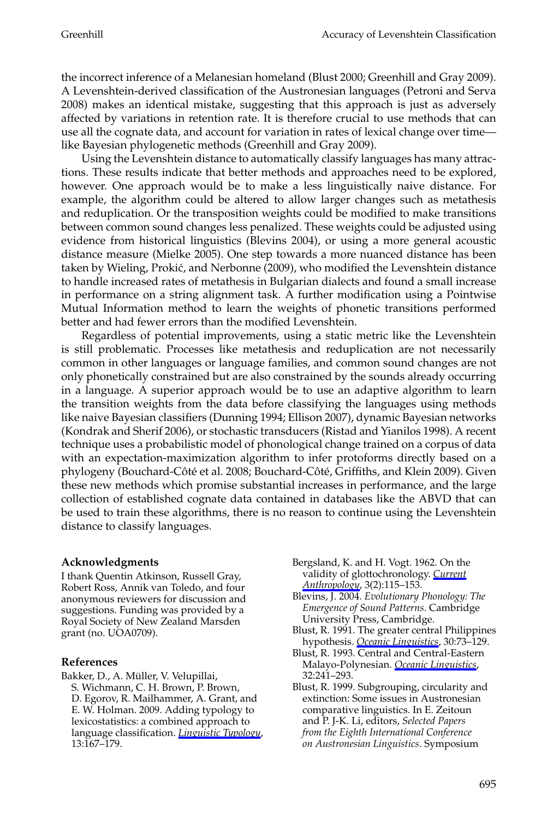the incorrect inference of a Melanesian homeland (Blust 2000; Greenhill and Gray 2009). A Levenshtein-derived classification of the Austronesian languages (Petroni and Serva 2008) makes an identical mistake, suggesting that this approach is just as adversely affected by variations in retention rate. It is therefore crucial to use methods that can use all the cognate data, and account for variation in rates of lexical change over time like Bayesian phylogenetic methods (Greenhill and Gray 2009).

Using the Levenshtein distance to automatically classify languages has many attractions. These results indicate that better methods and approaches need to be explored, however. One approach would be to make a less linguistically naive distance. For example, the algorithm could be altered to allow larger changes such as metathesis and reduplication. Or the transposition weights could be modified to make transitions between common sound changes less penalized. These weights could be adjusted using evidence from historical linguistics (Blevins 2004), or using a more general acoustic distance measure (Mielke 2005). One step towards a more nuanced distance has been taken by Wieling, Prokić, and Nerbonne (2009), who modified the Levenshtein distance to handle increased rates of metathesis in Bulgarian dialects and found a small increase in performance on a string alignment task. A further modification using a Pointwise Mutual Information method to learn the weights of phonetic transitions performed better and had fewer errors than the modified Levenshtein.

Regardless of potential improvements, using a static metric like the Levenshtein is still problematic. Processes like metathesis and reduplication are not necessarily common in other languages or language families, and common sound changes are not only phonetically constrained but are also constrained by the sounds already occurring in a language. A superior approach would be to use an adaptive algorithm to learn the transition weights from the data before classifying the languages using methods like naive Bayesian classifiers (Dunning 1994; Ellison 2007), dynamic Bayesian networks (Kondrak and Sherif 2006), or stochastic transducers (Ristad and Yianilos 1998). A recent technique uses a probabilistic model of phonological change trained on a corpus of data with an expectation-maximization algorithm to infer protoforms directly based on a phylogeny (Bouchard-Côté et al. 2008; Bouchard-Côté, Griffiths, and Klein 2009). Given these new methods which promise substantial increases in performance, and the large collection of established cognate data contained in databases like the ABVD that can be used to train these algorithms, there is no reason to continue using the Levenshtein distance to classify languages.

#### **Acknowledgments**

I thank Quentin Atkinson, Russell Gray, Robert Ross, Annik van Toledo, and four anonymous reviewers for discussion and suggestions. Funding was provided by a Royal Society of New Zealand Marsden grant (no. UOA0709).

#### **References**

- Bakker, D., A. Müller, V. Velupillai, S. Wichmann, C. H. Brown, P. Brown, D. Egorov, R. Mailhammer, A. Grant, and E. W. Holman. 2009. Adding typology to lexicostatistics: a combined approach to language classification. *Linguistic Typology*, 13:167–179.
- Bergsland, K. and H. Vogt. 1962. On the validity of glottochronology. *Current*
- *Anthropology*, 3(2):115–153. Blevins, J. 2004. *Evolutionary Phonology: The Emergence of Sound Patterns*. Cambridge University Press, Cambridge.
- Blust, R. 1991. The greater central Philippines hypothesis. *Oceanic Linguistics*, 30:73–129.
- Blust, R. 1993. Central and Central-Eastern Malayo-Polynesian. *Oceanic Linguistics*, 32:241–293.
- Blust, R. 1999. Subgrouping, circularity and extinction: Some issues in Austronesian comparative linguistics. In E. Zeitoun and P. J-K. Li, editors, *Selected Papers from the Eighth International Conference on Austronesian Linguistics*. Symposium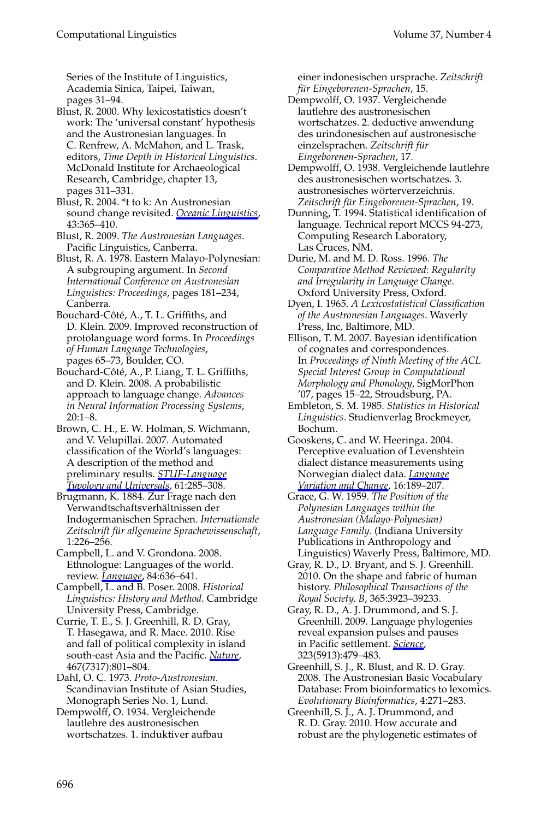### Computational Linguistics Volume 37, Number 4

Series of the Institute of Linguistics, Academia Sinica, Taipei, Taiwan, pages 31–94.

Blust, R. 2000. Why lexicostatistics doesn't work: The 'universal constant' hypothesis and the Austronesian languages. In C. Renfrew, A. McMahon, and L. Trask, editors, *Time Depth in Historical Linguistics*. McDonald Institute for Archaeological Research, Cambridge, chapter 13, pages 311–331.

Blust, R. 2004. \*t to k: An Austronesian sound change revisited. *Oceanic Linguistics*, 43:365–410.

- Blust, R. 2009. *The Austronesian Languages*. Pacific Linguistics, Canberra.
- Blust, R. A. 1978. Eastern Malayo-Polynesian: A subgrouping argument. In *Second International Conference on Austronesian Linguistics: Proceedings*, pages 181–234, Canberra.
- Bouchard-Côté, A., T. L. Griffiths, and D. Klein. 2009. Improved reconstruction of protolanguage word forms. In *Proceedings of Human Language Technologies*, pages 65–73, Boulder, CO.
- Bouchard-Côté, A., P. Liang, T. L. Griffiths, and D. Klein. 2008. A probabilistic approach to language change. *Advances in Neural Information Processing Systems*, 20:1–8.
- Brown, C. H., E. W. Holman, S. Wichmann, and V. Velupillai. 2007. Automated classification of the World's languages: A description of the method and preliminary results. *STUF-Language Typology and Universals*, 61:285–308.

Brugmann, K. 1884. Zur Frage nach den Verwandtschaftsverhaltnissen der ¨ Indogermanischen Sprachen. *Internationale* Zeitschrift für allgemeine Sprachewissenschaft, 1:226–256.

Campbell, L. and V. Grondona. 2008. Ethnologue: Languages of the world. review. *Language*, 84:636–641.

Campbell, L. and B. Poser. 2008. *Historical Linguistics: History and Method*. Cambridge University Press, Cambridge.

Currie, T. E., S. J. Greenhill, R. D. Gray, T. Hasegawa, and R. Mace. 2010. Rise and fall of political complexity in island south-east Asia and the Pacific. *Nature*, 467(7317):801–804.

Dahl, O. C. 1973. *Proto-Austronesian*. Scandinavian Institute of Asian Studies, Monograph Series No. 1, Lund.

Dempwolff, O. 1934. Vergleichende lautlehre des austronesischen wortschatzes. 1. induktiver aufbau einer indonesischen ursprache. *Zeitschrift f ¨ur Eingeborenen-Sprachen*, 15.

Dempwolff, O. 1937. Vergleichende lautlehre des austronesischen wortschatzes. 2. deductive anwendung des urindonesischen auf austronesische einzelsprachen. Zeitschrift für *Eingeborenen-Sprachen*, 17.

Dempwolff, O. 1938. Vergleichende lautlehre des austronesischen wortschatzes. 3. austronesisches wörterverzeichnis. *Zeitschrift f ¨ur Eingeborenen-Sprachen*, 19.

- Dunning, T. 1994. Statistical identification of language. Technical report MCCS 94-273, Computing Research Laboratory, Las Cruces, NM.
- Durie, M. and M. D. Ross. 1996. *The Comparative Method Reviewed: Regularity and Irregularity in Language Change*. Oxford University Press, Oxford.
- Dyen, I. 1965. *A Lexicostatistical Classification of the Austronesian Languages*. Waverly Press, Inc, Baltimore, MD.
- Ellison, T. M. 2007. Bayesian identification of cognates and correspondences. In *Proceedings of Ninth Meeting of the ACL Special Interest Group in Computational Morphology and Phonology*, SigMorPhon '07, pages 15–22, Stroudsburg, PA.
- Embleton, S. M. 1985. *Statistics in Historical Linguistics*. Studienverlag Brockmeyer, Bochum.
- Gooskens, C. and W. Heeringa. 2004. Perceptive evaluation of Levenshtein dialect distance measurements using Norwegian dialect data. *Language Variation and Change*, 16:189–207.

Grace, G. W. 1959. *The Position of the Polynesian Languages within the Austronesian (Malayo-Polynesian) Language Family*. (Indiana University Publications in Anthropology and Linguistics) Waverly Press, Baltimore, MD.

- Gray, R. D., D. Bryant, and S. J. Greenhill. 2010. On the shape and fabric of human history. *Philosophical Transactions of the Royal Society, B*, 365:3923–39233.
- Gray, R. D., A. J. Drummond, and S. J. Greenhill. 2009. Language phylogenies reveal expansion pulses and pauses in Pacific settlement. *Science*, 323(5913):479–483.
- Greenhill, S. J., R. Blust, and R. D. Gray. 2008. The Austronesian Basic Vocabulary Database: From bioinformatics to lexomics. *Evolutionary Bioinformatics*, 4:271–283.

Greenhill, S. J., A. J. Drummond, and R. D. Gray. 2010. How accurate and robust are the phylogenetic estimates of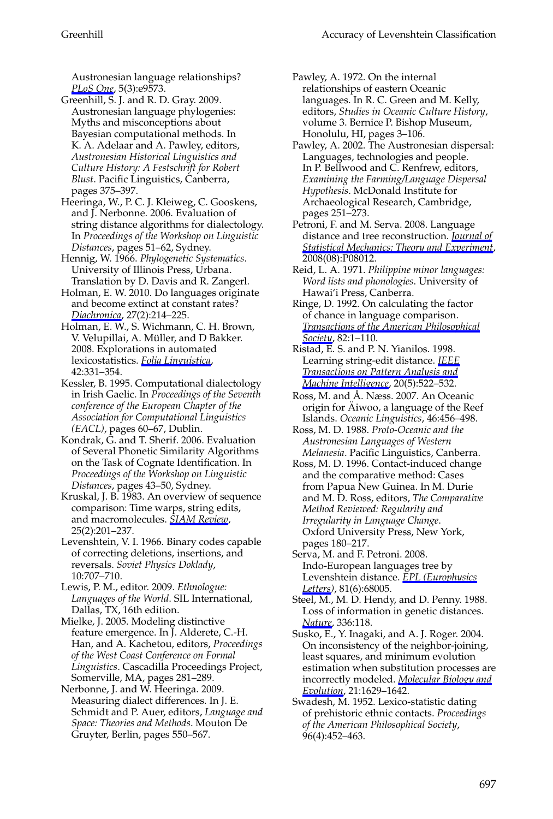Austronesian language relationships? *PLoS One*, 5(3):e9573.

Greenhill, S. J. and R. D. Gray. 2009. Austronesian language phylogenies: Myths and misconceptions about Bayesian computational methods. In K. A. Adelaar and A. Pawley, editors, *Austronesian Historical Linguistics and Culture History: A Festschrift for Robert Blust*. Pacific Linguistics, Canberra, pages 375–397.

Heeringa, W., P. C. J. Kleiweg, C. Gooskens, and J. Nerbonne. 2006. Evaluation of string distance algorithms for dialectology. In *Proceedings of the Workshop on Linguistic Distances*, pages 51–62, Sydney.

Hennig, W. 1966. *Phylogenetic Systematics*. University of Illinois Press, Urbana. Translation by D. Davis and R. Zangerl.

Holman, E. W. 2010. Do languages originate and become extinct at constant rates? *Diachronica*, 27(2):214–225.

Holman, E. W., S. Wichmann, C. H. Brown, V. Velupillai, A. Müller, and D Bakker. 2008. Explorations in automated lexicostatistics. *Folia Linguistica*, 42:331–354.

Kessler, B. 1995. Computational dialectology in Irish Gaelic. In *Proceedings of the Seventh conference of the European Chapter of the Association for Computational Linguistics (EACL)*, pages 60–67, Dublin.

Kondrak, G. and T. Sherif. 2006. Evaluation of Several Phonetic Similarity Algorithms on the Task of Cognate Identification. In *Proceedings of the Workshop on Linguistic Distances*, pages 43–50, Sydney.

Kruskal, J. B. 1983. An overview of sequence comparison: Time warps, string edits, and macromolecules. *SIAM Review*, 25(2):201–237.

Levenshtein, V. I. 1966. Binary codes capable of correcting deletions, insertions, and reversals. *Soviet Physics Doklady*, 10:707–710.

Lewis, P. M., editor. 2009. *Ethnologue: Languages of the World*. SIL International, Dallas, TX, 16th edition.

Mielke, J. 2005. Modeling distinctive feature emergence. In J. Alderete, C.-H. Han, and A. Kachetou, editors, *Proceedings of the West Coast Conference on Formal Linguistics*. Cascadilla Proceedings Project, Somerville, MA, pages 281–289.

Nerbonne, J. and W. Heeringa. 2009. Measuring dialect differences. In J. E. Schmidt and P. Auer, editors, *Language and Space: Theories and Methods*. Mouton De Gruyter, Berlin, pages 550–567.

Pawley, A. 1972. On the internal relationships of eastern Oceanic languages. In R. C. Green and M. Kelly, editors, *Studies in Oceanic Culture History*, volume 3. Bernice P. Bishop Museum, Honolulu, HI, pages 3–106.

Pawley, A. 2002. The Austronesian dispersal: Languages, technologies and people. In P. Bellwood and C. Renfrew, editors, *Examining the Farming/Language Dispersal Hypothesis*. McDonald Institute for Archaeological Research, Cambridge, pages 251–273.

Petroni, F. and M. Serva. 2008. Language distance and tree reconstruction. *Journal of Statistical Mechanics: Theory and Experiment*, 2008(08):P08012.

Reid, L. A. 1971. *Philippine minor languages: Word lists and phonologies*. University of Hawai'i Press, Canberra.

Ringe, D. 1992. On calculating the factor of chance in language comparison. *Transactions of the American Philosophical Society*, 82:1–110.

Ristad, E. S. and P. N. Yianilos. 1998. Learning string-edit distance. *IEEE Transactions on Pattern Analysis and Machine Intelligence*, 20(5):522–532.

Ross, M. and Å. Næss. 2007. An Oceanic origin for Aiwoo, a language of the Reef ¨ Islands. *Oceanic Linguistics*, 46:456–498.

Ross, M. D. 1988. *Proto-Oceanic and the Austronesian Languages of Western Melanesia*. Pacific Linguistics, Canberra.

Ross, M. D. 1996. Contact-induced change and the comparative method: Cases from Papua New Guinea. In M. Durie and M. D. Ross, editors, *The Comparative Method Reviewed: Regularity and Irregularity in Language Change*. Oxford University Press, New York, pages 180–217.

Serva, M. and F. Petroni. 2008. Indo-European languages tree by Levenshtein distance. *EPL (Europhysics Letters)*, 81(6):68005.

Steel, M., M. D. Hendy, and D. Penny. 1988. Loss of information in genetic distances. *Nature*, 336:118.

Susko, E., Y. Inagaki, and A. J. Roger. 2004. On inconsistency of the neighbor-joining, least squares, and minimum evolution estimation when substitution processes are incorrectly modeled. *Molecular Biology and Evolution*, 21:1629–1642.

Swadesh, M. 1952. Lexico-statistic dating of prehistoric ethnic contacts. *Proceedings of the American Philosophical Society*, 96(4):452–463.